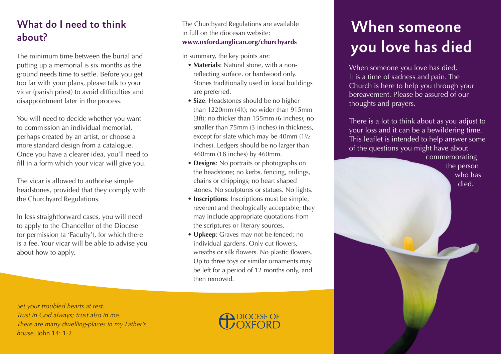#### What do I need to think about?

The minimum time between the burial and putting up a memorial is six months as the ground needs time to settle. Before you get too far with your plans, please talk to your vicar (parish priest) to avoid difficulties and disappointment later in the process.

You will need to decide whether you want to commission an individual memorial, perhaps created by an artist, or choose a more standard design from a catalogue. Once you have a clearer idea, you'll need to fill in a form which your vicar will give you.

The vicar is allowed to authorise simple headstones, provided that they comply with the Churchyard Regulations.

In less straightforward cases, you will need to apply to the Chancellor of the Diocese for permission (a 'Faculty'), for which there is a fee. Your vicar will be able to advise you about how to apply.

The Churchyard Regulations are available in full on the diocesan website: **www.oxford.anglican.org/churchyards** 

In summary, the key points are:

- **Materials**: Natural stone, with a nonreflecting surface, or hardwood only. Stones traditionally used in local buildings are preferred.
- **Size**: Headstones should be no higher than 1220mm (4ft); no wider than 915mm (3ft); no thicker than 155mm (6 inches); no smaller than 75mm (3 inches) in thickness, except for slate which may be 40mm (1½ inches). Ledgers should be no larger than 460mm (18 inches) by 460mm.
- **Designs**: No portraits or photographs on the headstone; no kerbs, fencing, railings, chains or chippings; no heart shaped stones. No sculptures or statues. No lights.
- **Inscriptions**: Inscriptions must be simple, reverent and theologically acceptable; they may include appropriate quotations from the scriptures or literary sources.
- **Upkeep**: Graves may not be fenced; no individual gardens. Only cut flowers, wreaths or silk flowers. No plastic flowers. Up to three toys or similar ornaments may be left for a period of 12 months only, and then removed.

# When someone you love has died

When someone you love has died, it is a time of sadness and pain. The Church is here to help you through your bereavement. Please be assured of our thoughts and prayers.

There is a lot to think about as you adjust to your loss and it can be a bewildering time. This leaflet is intended to help answer some of the questions you might have about

> commemorating the person who has died.

*Set your troubled hearts at rest. Trust in God always; trust also in me. There are many dwelling-places in my Father's house.* John 14: 1-2